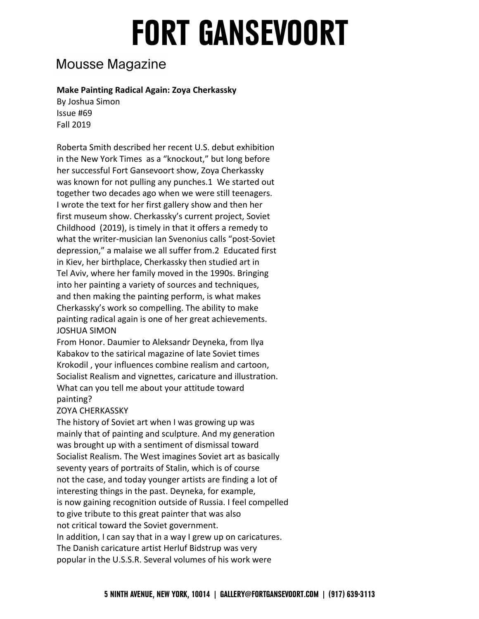### **Mousse Magazine**

#### **Make Painting Radical Again: Zoya Cherkassky**

 Issue #69 Fall 2019 By Joshua Simon

 Roberta Smith described her recent U.S. debut exhibition in the New York Times as a "knockout," but long before her successful Fort Gansevoort show, Zoya Cherkassky was known for not pulling any punches.1 We started out together two decades ago when we were still teenagers. I wrote the text for her first gallery show and then her first museum show. Cherkassky's current project, Soviet Childhood (2019), is timely in that it offers a remedy to what the writer-musician Ian Svenonius calls "post-Soviet depression," a malaise we all suffer from.2 Educated first in Kiev, her birthplace, Cherkassky then studied art in Tel Aviv, where her family moved in the 1990s. Bringing into her painting a variety of sources and techniques, and then making the painting perform, is what makes Cherkassky's work so compelling. The ability to make painting radical again is one of her great achievements. JOSHUA SIMON

 From Honor. Daumier to Aleksandr Deyneka, from Ilya Kabakov to the satirical magazine of late Soviet times Krokodil , your influences combine realism and cartoon, Socialist Realism and vignettes, caricature and illustration. What can you tell me about your attitude toward painting?

#### ZOYA CHERKASSKY

 The history of Soviet art when I was growing up was mainly that of painting and sculpture. And my generation was brought up with a sentiment of dismissal toward Socialist Realism. The West imagines Soviet art as basically seventy years of portraits of Stalin, which is of course not the case, and today younger artists are finding a lot of interesting things in the past. Deyneka, for example, is now gaining recognition outside of Russia. I feel compelled to give tribute to this great painter that was also not critical toward the Soviet government. In addition, I can say that in a way I grew up on caricatures. The Danish caricature artist Herluf Bidstrup was very popular in the U.S.S.R. Several volumes of his work were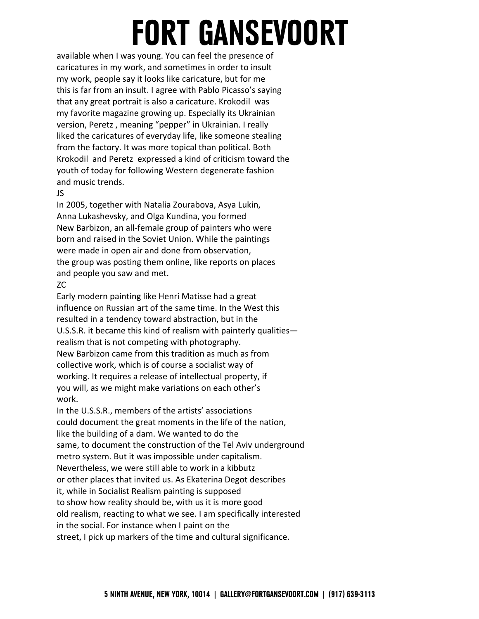available when I was young. You can feel the presence of caricatures in my work, and sometimes in order to insult my work, people say it looks like caricature, but for me this is far from an insult. I agree with Pablo Picasso's saying that any great portrait is also a caricature. Krokodil was my favorite magazine growing up. Especially its Ukrainian version, Peretz , meaning "pepper" in Ukrainian. I really liked the caricatures of everyday life, like someone stealing from the factory. It was more topical than political. Both Krokodil and Peretz expressed a kind of criticism toward the youth of today for following Western degenerate fashion and music trends.

#### JS

 In 2005, together with Natalia Zourabova, Asya Lukin, Anna Lukashevsky, and Olga Kundina, you formed New Barbizon, an all-female group of painters who were born and raised in the Soviet Union. While the paintings were made in open air and done from observation, the group was posting them online, like reports on places and people you saw and met.

#### ZC

 Early modern painting like Henri Matisse had a great influence on Russian art of the same time. In the West this resulted in a tendency toward abstraction, but in the U.S.S.R. it became this kind of realism with painterly qualities— realism that is not competing with photography. New Barbizon came from this tradition as much as from collective work, which is of course a socialist way of working. It requires a release of intellectual property, if you will, as we might make variations on each other's work.

 In the U.S.S.R., members of the artists' associations could document the great moments in the life of the nation, like the building of a dam. We wanted to do the same, to document the construction of the Tel Aviv underground metro system. But it was impossible under capitalism. Nevertheless, we were still able to work in a kibbutz or other places that invited us. As Ekaterina Degot describes it, while in Socialist Realism painting is supposed to show how reality should be, with us it is more good old realism, reacting to what we see. I am specifically interested in the social. For instance when I paint on the street, I pick up markers of the time and cultural significance.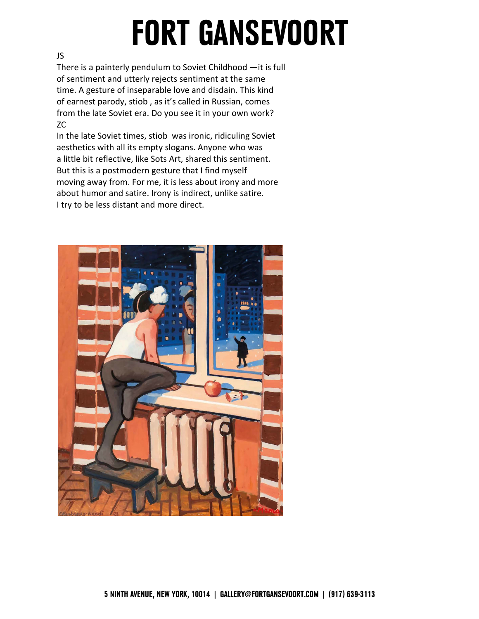#### JS

 There is a painterly pendulum to Soviet Childhood —it is full of sentiment and utterly rejects sentiment at the same time. A gesture of inseparable love and disdain. This kind of earnest parody, stiob , as it's called in Russian, comes from the late Soviet era. Do you see it in your own work? ZC

 In the late Soviet times, stiob was ironic, ridiculing Soviet aesthetics with all its empty slogans. Anyone who was a little bit reflective, like Sots Art, shared this sentiment. But this is a postmodern gesture that I find myself moving away from. For me, it is less about irony and more about humor and satire. Irony is indirect, unlike satire. I try to be less distant and more direct.

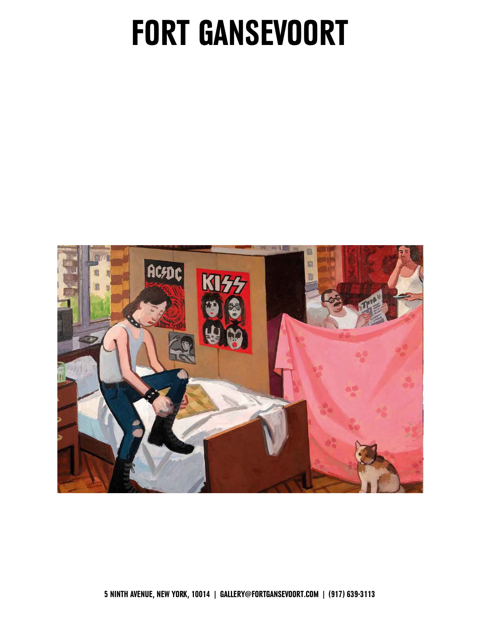